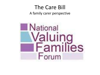#### The Care Bill A family carer perspective

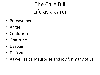#### The Care Bill Life as a carer

- Bereavement
- Anger
- Confusion
- Gratitude
- Despair
- Déjà vu
- As well as daily surprise and joy for many of us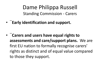Dame Philippa Russell Standing Commission - Carers

- ¨**Early identification and support.**
- ¨**Carers and users have equal rights to assessments and care/support plans.** We are first EU nation to formally recognise carers' rights as distinct and of equal value compared to those they support.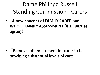# Dame Philippa Russell Standing Commission - Carers

• ¨**A new concept of FAMILY CARER and WHOLE FAMILY ASSESSMENT (if all parties agree)!**

• ¨Removal of requirement for carer to be providing **substantial levels of care.**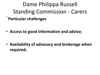Dame Philippa Russell Standing Commission - Carers ¨**Particular challenges**

• **Access to good information and advice;**

• **Availability of advocacy and brokerage when required;**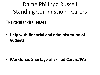Dame Philippa Russell Standing Commission - Carers

¨**Particular challenges**

• **Help with financial and administration of budgets;**

• **Workforce: Shortage of skilled Carers/PAs.**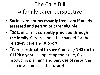### The Care Bill A family carer perspective

- **Social care not necessarily free even if needs assessed and person or carer eligible.**
- ¨**80% of care is currently provided through the family.** Carers cannot be charged for their relative's care and support.
- ¨**Carers estimated to save Councils/NHS up to £119b a year** – supporting their role, Coproducing planning and best use of resources, is an investment in the future!